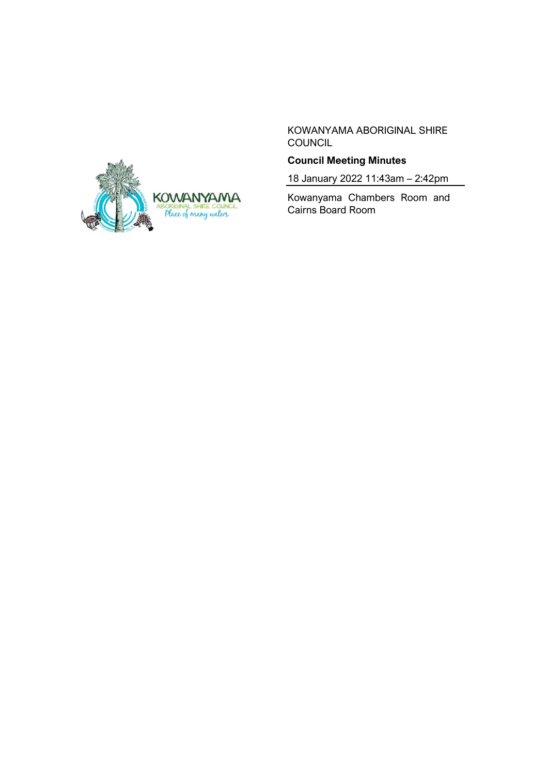

KOWANYAMA ABORIGINAL SHIRE **COUNCIL** 

# **Council Meeting Minutes**

18 January 2022 11:43am – 2:42pm

Kowanyama Chambers Room and Cairns Board Room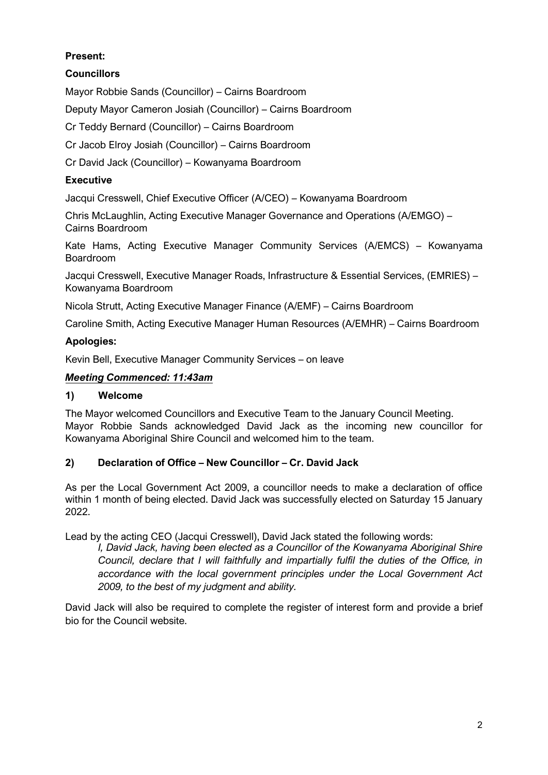# **Present:**

# **Councillors**

Mayor Robbie Sands (Councillor) – Cairns Boardroom

Deputy Mayor Cameron Josiah (Councillor) – Cairns Boardroom

Cr Teddy Bernard (Councillor) – Cairns Boardroom

Cr Jacob Elroy Josiah (Councillor) – Cairns Boardroom

Cr David Jack (Councillor) – Kowanyama Boardroom

## **Executive**

Jacqui Cresswell, Chief Executive Officer (A/CEO) – Kowanyama Boardroom

Chris McLaughlin, Acting Executive Manager Governance and Operations (A/EMGO) – Cairns Boardroom

Kate Hams, Acting Executive Manager Community Services (A/EMCS) – Kowanyama Boardroom

Jacqui Cresswell, Executive Manager Roads, Infrastructure & Essential Services, (EMRIES) – Kowanyama Boardroom

Nicola Strutt, Acting Executive Manager Finance (A/EMF) – Cairns Boardroom

Caroline Smith, Acting Executive Manager Human Resources (A/EMHR) – Cairns Boardroom

### **Apologies:**

Kevin Bell, Executive Manager Community Services – on leave

### *Meeting Commenced: 11:43am*

### **1) Welcome**

The Mayor welcomed Councillors and Executive Team to the January Council Meeting. Mayor Robbie Sands acknowledged David Jack as the incoming new councillor for Kowanyama Aboriginal Shire Council and welcomed him to the team.

### **2) Declaration of Office – New Councillor – Cr. David Jack**

As per the Local Government Act 2009, a councillor needs to make a declaration of office within 1 month of being elected. David Jack was successfully elected on Saturday 15 January 2022.

Lead by the acting CEO (Jacqui Cresswell), David Jack stated the following words:

*I, David Jack, having been elected as a Councillor of the Kowanyama Aboriginal Shire Council, declare that I will faithfully and impartially fulfil the duties of the Office, in accordance with the local government principles under the Local Government Act 2009, to the best of my judgment and ability.*

David Jack will also be required to complete the register of interest form and provide a brief bio for the Council website.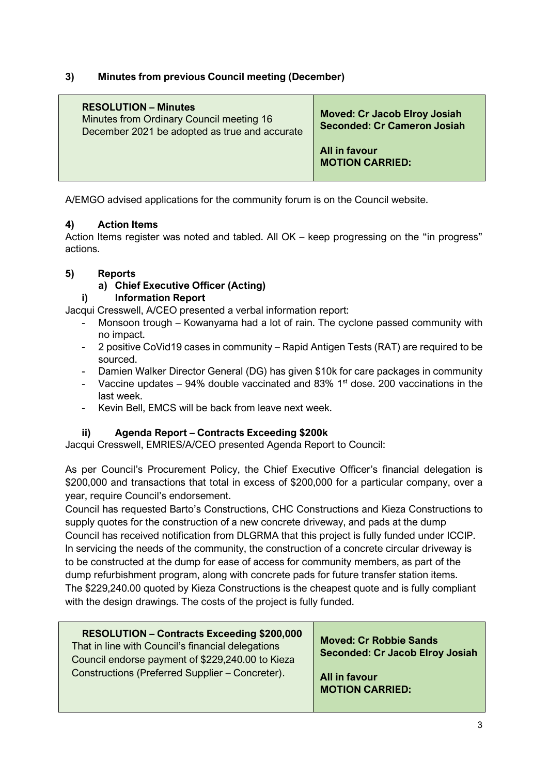## **3) Minutes from previous Council meeting (December)**

| <b>RESOLUTION – Minutes</b><br>Minutes from Ordinary Council meeting 16<br>December 2021 be adopted as true and accurate | <b>Moved: Cr Jacob Elroy Josiah</b><br><b>Seconded: Cr Cameron Josiah</b> |
|--------------------------------------------------------------------------------------------------------------------------|---------------------------------------------------------------------------|
|                                                                                                                          | All in favour<br><b>MOTION CARRIED:</b>                                   |

A/EMGO advised applications for the community forum is on the Council website.

## **4) Action Items**

Action Items register was noted and tabled. All OK – keep progressing on the "in progress" actions.

## **5) Reports**

**a) Chief Executive Officer (Acting)**

# **i) Information Report**

Jacqui Cresswell, A/CEO presented a verbal information report:

- Monsoon trough Kowanyama had a lot of rain. The cyclone passed community with no impact.
- 2 positive CoVid19 cases in community Rapid Antigen Tests (RAT) are required to be sourced.
- Damien Walker Director General (DG) has given \$10k for care packages in community
- Vaccine updates 94% double vaccinated and 83%  $1<sup>st</sup>$  dose. 200 vaccinations in the last week.
- Kevin Bell, EMCS will be back from leave next week.

# **ii) Agenda Report – Contracts Exceeding \$200k**

Jacqui Cresswell, EMRIES/A/CEO presented Agenda Report to Council:

As per Council's Procurement Policy, the Chief Executive Officer's financial delegation is \$200,000 and transactions that total in excess of \$200,000 for a particular company, over a year, require Council's endorsement.

Council has requested Barto's Constructions, CHC Constructions and Kieza Constructions to supply quotes for the construction of a new concrete driveway, and pads at the dump Council has received notification from DLGRMA that this project is fully funded under ICCIP. In servicing the needs of the community, the construction of a concrete circular driveway is to be constructed at the dump for ease of access for community members, as part of the dump refurbishment program, along with concrete pads for future transfer station items. The \$229,240.00 quoted by Kieza Constructions is the cheapest quote and is fully compliant with the design drawings. The costs of the project is fully funded.

| <b>Moved: Cr Robbie Sands</b><br>That in line with Council's financial delegations<br><b>Seconded: Cr Jacob Elroy Josiah</b><br>Council endorse payment of \$229,240.00 to Kieza<br>Constructions (Preferred Supplier - Concreter).<br>All in favour<br><b>MOTION CARRIED:</b> |
|--------------------------------------------------------------------------------------------------------------------------------------------------------------------------------------------------------------------------------------------------------------------------------|
|--------------------------------------------------------------------------------------------------------------------------------------------------------------------------------------------------------------------------------------------------------------------------------|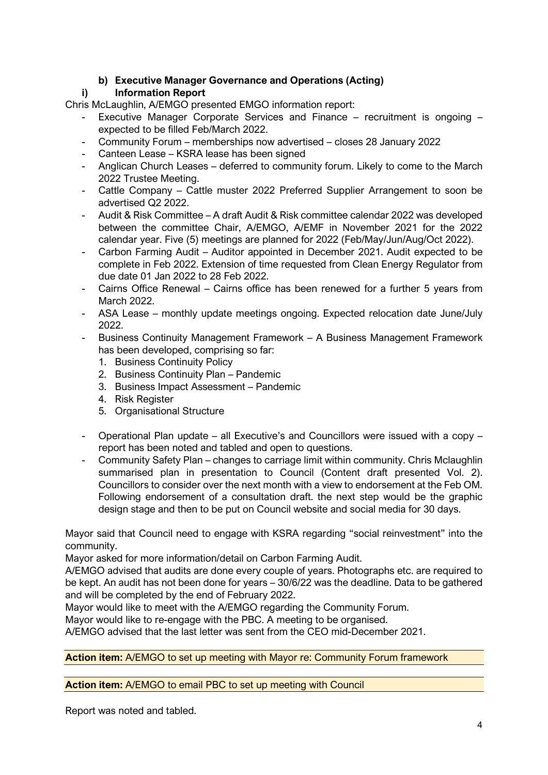# **b) Executive Manager Governance and Operations (Acting)**

# **i) Information Report**

Chris McLaughlin, A/EMGO presented EMGO information report:

- Executive Manager Corporate Services and Finance recruitment is ongoing expected to be filled Feb/March 2022.
- Community Forum memberships now advertised closes 28 January 2022
- Canteen Lease KSRA lease has been signed
- Anglican Church Leases deferred to community forum. Likely to come to the March 2022 Trustee Meeting.
- Cattle Company Cattle muster 2022 Preferred Supplier Arrangement to soon be advertised Q2 2022.
- Audit & Risk Committee A draft Audit & Risk committee calendar 2022 was developed between the committee Chair, A/EMGO, A/EMF in November 2021 for the 2022 calendar year. Five (5) meetings are planned for 2022 (Feb/May/Jun/Aug/Oct 2022).
- Carbon Farming Audit Auditor appointed in December 2021. Audit expected to be complete in Feb 2022. Extension of time requested from Clean Energy Regulator from due date 01 Jan 2022 to 28 Feb 2022.
- Cairns Office Renewal Cairns office has been renewed for a further 5 years from March 2022.
- ASA Lease monthly update meetings ongoing. Expected relocation date June/July 2022.
- Business Continuity Management Framework A Business Management Framework has been developed, comprising so far:
	- 1. Business Continuity Policy
	- 2. Business Continuity Plan Pandemic
	- 3. Business Impact Assessment Pandemic
	- 4. Risk Register
	- 5. Organisational Structure
- Operational Plan update all Executive's and Councillors were issued with a copy report has been noted and tabled and open to questions.
- Community Safety Plan changes to carriage limit within community. Chris Mclaughlin summarised plan in presentation to Council (Content draft presented Vol. 2). Councillors to consider over the next month with a view to endorsement at the Feb OM. Following endorsement of a consultation draft. the next step would be the graphic design stage and then to be put on Council website and social media for 30 days.

Mayor said that Council need to engage with KSRA regarding "social reinvestment" into the community.

Mayor asked for more information/detail on Carbon Farming Audit.

A/EMGO advised that audits are done every couple of years. Photographs etc. are required to be kept. An audit has not been done for years – 30/6/22 was the deadline. Data to be gathered and will be completed by the end of February 2022.

Mayor would like to meet with the A/EMGO regarding the Community Forum.

Mayor would like to re-engage with the PBC. A meeting to be organised.

A/EMGO advised that the last letter was sent from the CEO mid-December 2021.

**Action item:** A/EMGO to set up meeting with Mayor re: Community Forum framework

#### **Action item:** A/EMGO to email PBC to set up meeting with Council

Report was noted and tabled.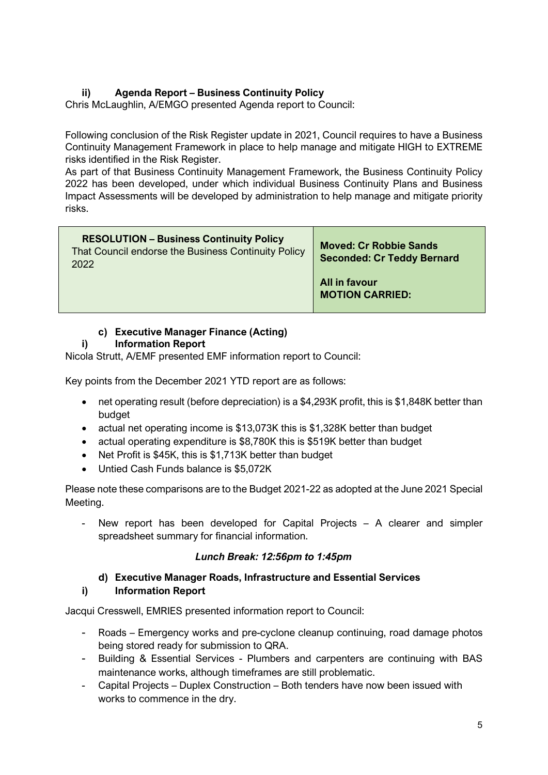# **ii) Agenda Report – Business Continuity Policy**

Chris McLaughlin, A/EMGO presented Agenda report to Council:

Following conclusion of the Risk Register update in 2021, Council requires to have a Business Continuity Management Framework in place to help manage and mitigate HIGH to EXTREME risks identified in the Risk Register.

As part of that Business Continuity Management Framework, the Business Continuity Policy 2022 has been developed, under which individual Business Continuity Plans and Business Impact Assessments will be developed by administration to help manage and mitigate priority risks.

| <b>RESOLUTION - Business Continuity Policy</b><br>That Council endorse the Business Continuity Policy<br>2022 | <b>Moved: Cr Robbie Sands</b><br><b>Seconded: Cr Teddy Bernard</b> |
|---------------------------------------------------------------------------------------------------------------|--------------------------------------------------------------------|
|                                                                                                               | All in favour<br><b>MOTION CARRIED:</b>                            |

# **c) Executive Manager Finance (Acting)**

## **i) Information Report**

Nicola Strutt, A/EMF presented EMF information report to Council:

Key points from the December 2021 YTD report are as follows:

- net operating result (before depreciation) is a \$4,293K profit, this is \$1,848K better than budget
- actual net operating income is \$13,073K this is \$1,328K better than budget
- actual operating expenditure is \$8,780K this is \$519K better than budget
- Net Profit is \$45K, this is \$1,713K better than budget
- Untied Cash Funds balance is \$5,072K

Please note these comparisons are to the Budget 2021-22 as adopted at the June 2021 Special Meeting.

- New report has been developed for Capital Projects – A clearer and simpler spreadsheet summary for financial information.

### *Lunch Break: 12:56pm to 1:45pm*

#### **d) Executive Manager Roads, Infrastructure and Essential Services i) Information Report**

Jacqui Cresswell, EMRIES presented information report to Council:

- Roads Emergency works and pre-cyclone cleanup continuing, road damage photos being stored ready for submission to QRA.
- Building & Essential Services Plumbers and carpenters are continuing with BAS maintenance works, although timeframes are still problematic.
- Capital Projects Duplex Construction Both tenders have now been issued with works to commence in the dry.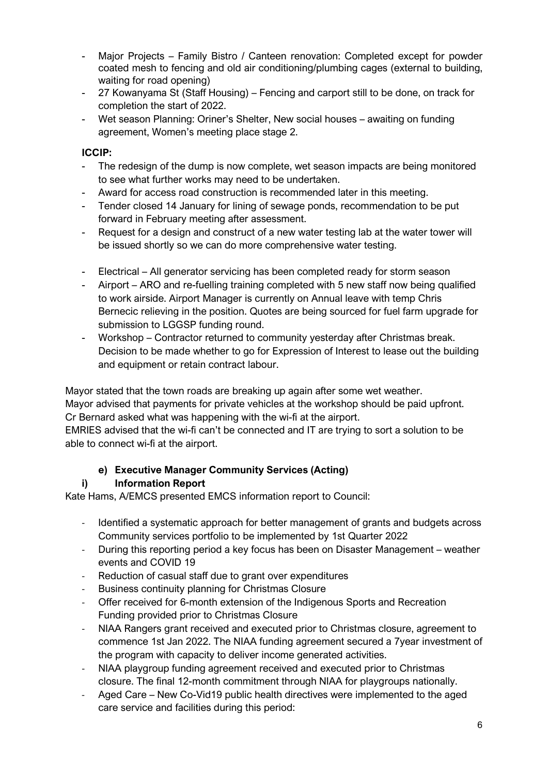- Major Projects Family Bistro / Canteen renovation: Completed except for powder coated mesh to fencing and old air conditioning/plumbing cages (external to building, waiting for road opening)
- 27 Kowanyama St (Staff Housing) Fencing and carport still to be done, on track for completion the start of 2022.
- Wet season Planning: Oriner's Shelter, New social houses awaiting on funding agreement, Women's meeting place stage 2.

## **ICCIP:**

- The redesign of the dump is now complete, wet season impacts are being monitored to see what further works may need to be undertaken.
- Award for access road construction is recommended later in this meeting.
- Tender closed 14 January for lining of sewage ponds, recommendation to be put forward in February meeting after assessment.
- Request for a design and construct of a new water testing lab at the water tower will be issued shortly so we can do more comprehensive water testing.
- Electrical All generator servicing has been completed ready for storm season
- Airport ARO and re-fuelling training completed with 5 new staff now being qualified to work airside. Airport Manager is currently on Annual leave with temp Chris Bernecic relieving in the position. Quotes are being sourced for fuel farm upgrade for submission to LGGSP funding round.
- Workshop Contractor returned to community yesterday after Christmas break. Decision to be made whether to go for Expression of Interest to lease out the building and equipment or retain contract labour.

Mayor stated that the town roads are breaking up again after some wet weather. Mayor advised that payments for private vehicles at the workshop should be paid upfront. Cr Bernard asked what was happening with the wi-fi at the airport. EMRIES advised that the wi-fi can't be connected and IT are trying to sort a solution to be able to connect wi-fi at the airport.

# **e) Executive Manager Community Services (Acting)**

# **i) Information Report**

Kate Hams, A/EMCS presented EMCS information report to Council:

- Identified a systematic approach for better management of grants and budgets across Community services portfolio to be implemented by 1st Quarter 2022
- During this reporting period a key focus has been on Disaster Management weather events and COVID 19
- Reduction of casual staff due to grant over expenditures
- Business continuity planning for Christmas Closure
- Offer received for 6-month extension of the Indigenous Sports and Recreation Funding provided prior to Christmas Closure
- NIAA Rangers grant received and executed prior to Christmas closure, agreement to commence 1st Jan 2022. The NIAA funding agreement secured a 7year investment of the program with capacity to deliver income generated activities.
- NIAA playgroup funding agreement received and executed prior to Christmas closure. The final 12-month commitment through NIAA for playgroups nationally.
- Aged Care New Co-Vid19 public health directives were implemented to the aged care service and facilities during this period: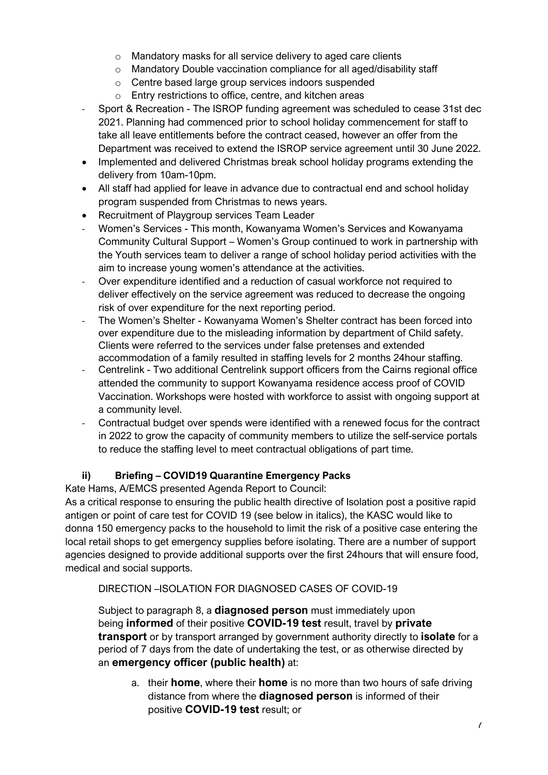- o Mandatory masks for all service delivery to aged care clients
- o Mandatory Double vaccination compliance for all aged/disability staff
- o Centre based large group services indoors suspended
- o Entry restrictions to office, centre, and kitchen areas
- Sport & Recreation The ISROP funding agreement was scheduled to cease 31st dec 2021. Planning had commenced prior to school holiday commencement for staff to take all leave entitlements before the contract ceased, however an offer from the Department was received to extend the ISROP service agreement until 30 June 2022.
- Implemented and delivered Christmas break school holiday programs extending the delivery from 10am-10pm.
- All staff had applied for leave in advance due to contractual end and school holidav program suspended from Christmas to news years.
- Recruitment of Playgroup services Team Leader
- Women's Services This month, Kowanyama Women's Services and Kowanyama Community Cultural Support – Women's Group continued to work in partnership with the Youth services team to deliver a range of school holiday period activities with the aim to increase young women's attendance at the activities.
- Over expenditure identified and a reduction of casual workforce not required to deliver effectively on the service agreement was reduced to decrease the ongoing risk of over expenditure for the next reporting period.
- The Women's Shelter Kowanyama Women's Shelter contract has been forced into over expenditure due to the misleading information by department of Child safety. Clients were referred to the services under false pretenses and extended accommodation of a family resulted in staffing levels for 2 months 24hour staffing.
- Centrelink Two additional Centrelink support officers from the Cairns regional office attended the community to support Kowanyama residence access proof of COVID Vaccination. Workshops were hosted with workforce to assist with ongoing support at a community level.
- Contractual budget over spends were identified with a renewed focus for the contract in 2022 to grow the capacity of community members to utilize the self-service portals to reduce the staffing level to meet contractual obligations of part time.

# **ii) Briefing – COVID19 Quarantine Emergency Packs**

Kate Hams, A/EMCS presented Agenda Report to Council:

As a critical response to ensuring the public health directive of Isolation post a positive rapid antigen or point of care test for COVID 19 (see below in italics), the KASC would like to donna 150 emergency packs to the household to limit the risk of a positive case entering the local retail shops to get emergency supplies before isolating. There are a number of support agencies designed to provide additional supports over the first 24hours that will ensure food, medical and social supports.

### DIRECTION –ISOLATION FOR DIAGNOSED CASES OF COVID-19

Subject to paragraph 8, a **diagnosed person** must immediately upon being **informed** of their positive **COVID-19 test** result, travel by **private transport** or by transport arranged by government authority directly to **isolate** for a period of 7 days from the date of undertaking the test, or as otherwise directed by an **emergency officer (public health)** at:

a. their **home**, where their **home** is no more than two hours of safe driving distance from where the **diagnosed person** is informed of their positive **COVID-19 test** result; or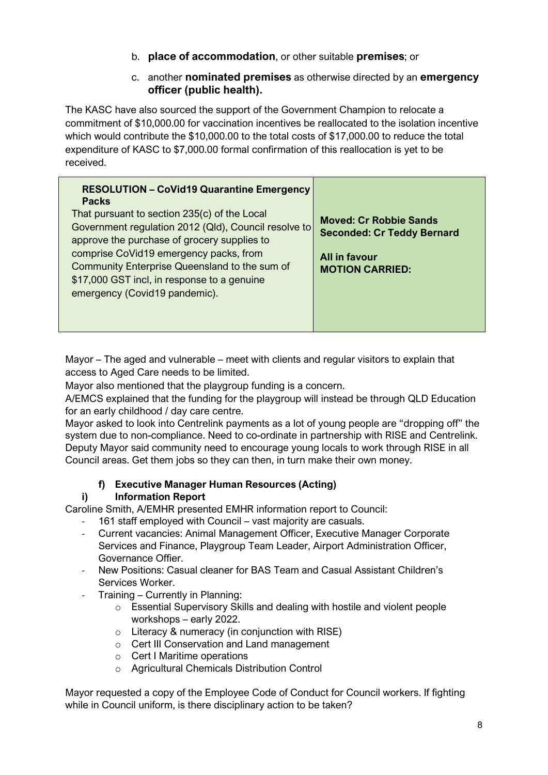- b. **place of accommodation**, or other suitable **premises**; or
- c. another **nominated premises** as otherwise directed by an **emergency officer (public health).**

The KASC have also sourced the support of the Government Champion to relocate a commitment of \$10,000.00 for vaccination incentives be reallocated to the isolation incentive which would contribute the \$10,000.00 to the total costs of \$17,000.00 to reduce the total expenditure of KASC to \$7,000.00 formal confirmation of this reallocation is yet to be received.

| <b>RESOLUTION - CoVid19 Quarantine Emergency</b><br><b>Packs</b>                                                                                                        |                                                                    |
|-------------------------------------------------------------------------------------------------------------------------------------------------------------------------|--------------------------------------------------------------------|
| That pursuant to section 235(c) of the Local<br>Government regulation 2012 (Qld), Council resolve to<br>approve the purchase of grocery supplies to                     | <b>Moved: Cr Robbie Sands</b><br><b>Seconded: Cr Teddy Bernard</b> |
| comprise CoVid19 emergency packs, from<br>Community Enterprise Queensland to the sum of<br>\$17,000 GST incl, in response to a genuine<br>emergency (Covid19 pandemic). | All in favour<br><b>MOTION CARRIED:</b>                            |
|                                                                                                                                                                         |                                                                    |

Mayor – The aged and vulnerable – meet with clients and regular visitors to explain that access to Aged Care needs to be limited.

Mayor also mentioned that the playgroup funding is a concern.

A/EMCS explained that the funding for the playgroup will instead be through QLD Education for an early childhood / day care centre.

Mayor asked to look into Centrelink payments as a lot of young people are "dropping off" the system due to non-compliance. Need to co-ordinate in partnership with RISE and Centrelink. Deputy Mayor said community need to encourage young locals to work through RISE in all Council areas. Get them jobs so they can then, in turn make their own money.

# **f) Executive Manager Human Resources (Acting)**

### **i) Information Report**

Caroline Smith, A/EMHR presented EMHR information report to Council:

- 161 staff employed with Council vast majority are casuals.
- Current vacancies: Animal Management Officer, Executive Manager Corporate Services and Finance, Playgroup Team Leader, Airport Administration Officer, Governance Offier.
- New Positions: Casual cleaner for BAS Team and Casual Assistant Children's Services Worker.
- Training Currently in Planning:
	- o Essential Supervisory Skills and dealing with hostile and violent people workshops – early 2022.
	- o Literacy & numeracy (in conjunction with RISE)
	- o Cert III Conservation and Land management
	- o Cert I Maritime operations
	- o Agricultural Chemicals Distribution Control

Mayor requested a copy of the Employee Code of Conduct for Council workers. If fighting while in Council uniform, is there disciplinary action to be taken?